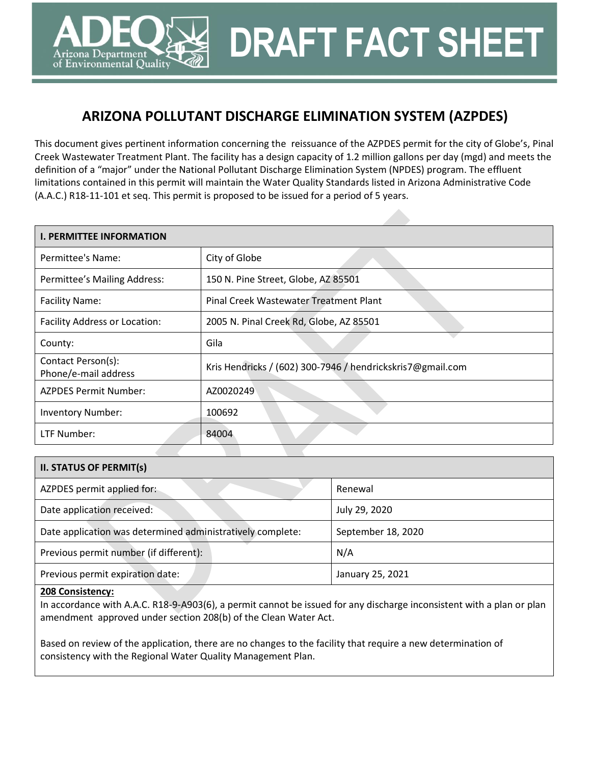# **ARIZONA POLLUTANT DISCHARGE ELIMINATION SYSTEM (AZPDES)**

**DRAFT FACT SHEET**

This document gives pertinent information concerning the reissuance of the AZPDES permit for the city of Globe's, Pinal Creek Wastewater Treatment Plant. The facility has a design capacity of 1.2 million gallons per day (mgd) and meets the definition of a "major" under the National Pollutant Discharge Elimination System (NPDES) program. The effluent limitations contained in this permit will maintain the Water Quality Standards listed in Arizona Administrative Code (A.A.C.) R18-11-101 et seq. This permit is proposed to be issued for a period of 5 years.

| <b>I. PERMITTEE INFORMATION</b>            |                                                            |  |  |  |
|--------------------------------------------|------------------------------------------------------------|--|--|--|
| Permittee's Name:                          | City of Globe                                              |  |  |  |
| Permittee's Mailing Address:               | 150 N. Pine Street, Globe, AZ 85501                        |  |  |  |
| <b>Facility Name:</b>                      | Pinal Creek Wastewater Treatment Plant                     |  |  |  |
| <b>Facility Address or Location:</b>       | 2005 N. Pinal Creek Rd, Globe, AZ 85501                    |  |  |  |
| County:                                    | Gila                                                       |  |  |  |
| Contact Person(s):<br>Phone/e-mail address | Kris Hendricks / (602) 300-7946 / hendrickskris7@gmail.com |  |  |  |
| <b>AZPDES Permit Number:</b>               | AZ0020249                                                  |  |  |  |
| <b>Inventory Number:</b>                   | 100692                                                     |  |  |  |
| LTF Number:                                | 84004                                                      |  |  |  |

| <b>II. STATUS OF PERMIT(s)</b>                             |                    |  |
|------------------------------------------------------------|--------------------|--|
| AZPDES permit applied for:                                 | Renewal            |  |
| Date application received:                                 | July 29, 2020      |  |
| Date application was determined administratively complete: | September 18, 2020 |  |
| Previous permit number (if different):                     | N/A                |  |
| Previous permit expiration date:                           | January 25, 2021   |  |

#### **208 Consistency:**

rizona Department of Environmental Quality

In accordance with A.A.C. R18-9-A903(6), a permit cannot be issued for any discharge inconsistent with a plan or plan amendment approved under section 208(b) of the Clean Water Act.

Based on review of the application, there are no changes to the facility that require a new determination of consistency with the Regional Water Quality Management Plan.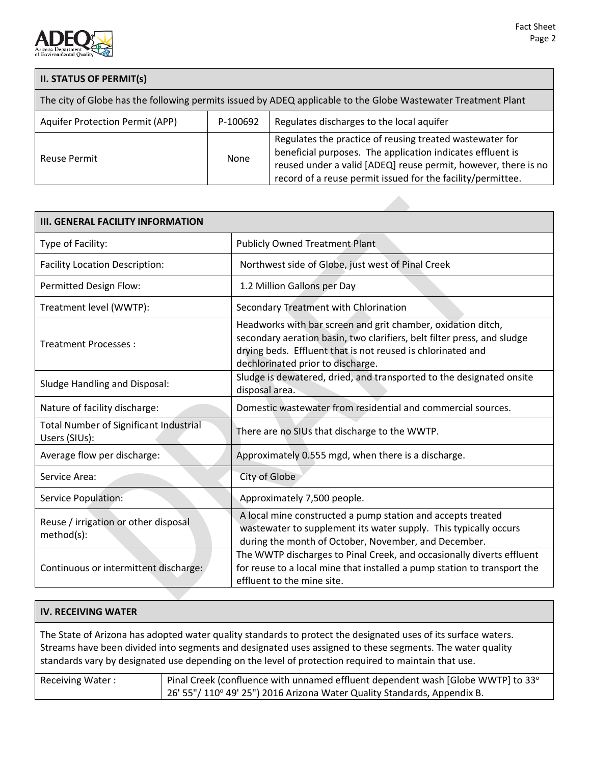

| <b>II. STATUS OF PERMIT(s)</b>                                                                                |      |                                                                                                                                                                                                                                                         |  |  |  |
|---------------------------------------------------------------------------------------------------------------|------|---------------------------------------------------------------------------------------------------------------------------------------------------------------------------------------------------------------------------------------------------------|--|--|--|
| The city of Globe has the following permits issued by ADEQ applicable to the Globe Wastewater Treatment Plant |      |                                                                                                                                                                                                                                                         |  |  |  |
| Regulates discharges to the local aquifer<br>Aquifer Protection Permit (APP)<br>P-100692                      |      |                                                                                                                                                                                                                                                         |  |  |  |
| <b>Reuse Permit</b>                                                                                           | None | Regulates the practice of reusing treated wastewater for<br>beneficial purposes. The application indicates effluent is<br>reused under a valid [ADEQ] reuse permit, however, there is no<br>record of a reuse permit issued for the facility/permittee. |  |  |  |

| <b>III. GENERAL FACILITY INFORMATION</b>                       |                                                                                                                                                                                                                                             |
|----------------------------------------------------------------|---------------------------------------------------------------------------------------------------------------------------------------------------------------------------------------------------------------------------------------------|
| Type of Facility:                                              | <b>Publicly Owned Treatment Plant</b>                                                                                                                                                                                                       |
| <b>Facility Location Description:</b>                          | Northwest side of Globe, just west of Pinal Creek                                                                                                                                                                                           |
| Permitted Design Flow:                                         | 1.2 Million Gallons per Day                                                                                                                                                                                                                 |
| Treatment level (WWTP):                                        | Secondary Treatment with Chlorination                                                                                                                                                                                                       |
| Treatment Processes:                                           | Headworks with bar screen and grit chamber, oxidation ditch,<br>secondary aeration basin, two clarifiers, belt filter press, and sludge<br>drying beds. Effluent that is not reused is chlorinated and<br>dechlorinated prior to discharge. |
| <b>Sludge Handling and Disposal:</b>                           | Sludge is dewatered, dried, and transported to the designated onsite<br>disposal area.                                                                                                                                                      |
| Nature of facility discharge:                                  | Domestic wastewater from residential and commercial sources.                                                                                                                                                                                |
| <b>Total Number of Significant Industrial</b><br>Users (SIUs): | There are no SIUs that discharge to the WWTP.                                                                                                                                                                                               |
| Average flow per discharge:                                    | Approximately 0.555 mgd, when there is a discharge.                                                                                                                                                                                         |
| Service Area:                                                  | City of Globe                                                                                                                                                                                                                               |
| Service Population:                                            | Approximately 7,500 people.                                                                                                                                                                                                                 |
| Reuse / irrigation or other disposal<br>method(s):             | A local mine constructed a pump station and accepts treated<br>wastewater to supplement its water supply. This typically occurs<br>during the month of October, November, and December.                                                     |
| Continuous or intermittent discharge:                          | The WWTP discharges to Pinal Creek, and occasionally diverts effluent<br>for reuse to a local mine that installed a pump station to transport the<br>effluent to the mine site.                                                             |

# **IV. RECEIVING WATER**

The State of Arizona has adopted water quality standards to protect the designated uses of its surface waters. Streams have been divided into segments and designated uses assigned to these segments. The water quality standards vary by designated use depending on the level of protection required to maintain that use.

| <b>Receiving Water:</b> | Pinal Creek (confluence with unnamed effluent dependent wash [Globe WWTP] to 33° |
|-------------------------|----------------------------------------------------------------------------------|
|                         | 26' 55"/ 110° 49' 25") 2016 Arizona Water Quality Standards, Appendix B.         |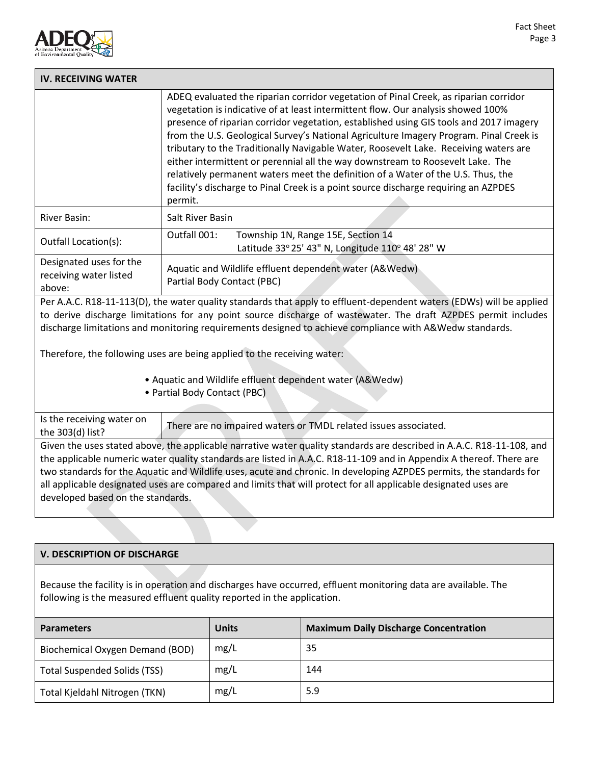

| <b>IV. RECEIVING WATER</b>                                                                                                                                                                                                                                                                                                                                                                                                   |                                                                                                                                                                                                                                                                                                                                                                                                                                                                                                                                                                                                                                                                                                                              |  |  |
|------------------------------------------------------------------------------------------------------------------------------------------------------------------------------------------------------------------------------------------------------------------------------------------------------------------------------------------------------------------------------------------------------------------------------|------------------------------------------------------------------------------------------------------------------------------------------------------------------------------------------------------------------------------------------------------------------------------------------------------------------------------------------------------------------------------------------------------------------------------------------------------------------------------------------------------------------------------------------------------------------------------------------------------------------------------------------------------------------------------------------------------------------------------|--|--|
|                                                                                                                                                                                                                                                                                                                                                                                                                              | ADEQ evaluated the riparian corridor vegetation of Pinal Creek, as riparian corridor<br>vegetation is indicative of at least intermittent flow. Our analysis showed 100%<br>presence of riparian corridor vegetation, established using GIS tools and 2017 imagery<br>from the U.S. Geological Survey's National Agriculture Imagery Program. Pinal Creek is<br>tributary to the Traditionally Navigable Water, Roosevelt Lake. Receiving waters are<br>either intermittent or perennial all the way downstream to Roosevelt Lake. The<br>relatively permanent waters meet the definition of a Water of the U.S. Thus, the<br>facility's discharge to Pinal Creek is a point source discharge requiring an AZPDES<br>permit. |  |  |
| <b>River Basin:</b>                                                                                                                                                                                                                                                                                                                                                                                                          | Salt River Basin                                                                                                                                                                                                                                                                                                                                                                                                                                                                                                                                                                                                                                                                                                             |  |  |
| Outfall Location(s):                                                                                                                                                                                                                                                                                                                                                                                                         | Outfall 001:<br>Township 1N, Range 15E, Section 14<br>Latitude 33° 25' 43" N, Longitude 110° 48' 28" W                                                                                                                                                                                                                                                                                                                                                                                                                                                                                                                                                                                                                       |  |  |
| Designated uses for the<br>receiving water listed<br>above:                                                                                                                                                                                                                                                                                                                                                                  | Aquatic and Wildlife effluent dependent water (A&Wedw)<br>Partial Body Contact (PBC)                                                                                                                                                                                                                                                                                                                                                                                                                                                                                                                                                                                                                                         |  |  |
| Per A.A.C. R18-11-113(D), the water quality standards that apply to effluent-dependent waters (EDWs) will be applied<br>to derive discharge limitations for any point source discharge of wastewater. The draft AZPDES permit includes<br>discharge limitations and monitoring requirements designed to achieve compliance with A&Wedw standards.<br>Therefore, the following uses are being applied to the receiving water: |                                                                                                                                                                                                                                                                                                                                                                                                                                                                                                                                                                                                                                                                                                                              |  |  |
|                                                                                                                                                                                                                                                                                                                                                                                                                              | • Aquatic and Wildlife effluent dependent water (A&Wedw)<br>• Partial Body Contact (PBC)                                                                                                                                                                                                                                                                                                                                                                                                                                                                                                                                                                                                                                     |  |  |
| Is the receiving water on<br>the 303(d) list?                                                                                                                                                                                                                                                                                                                                                                                | There are no impaired waters or TMDL related issues associated.                                                                                                                                                                                                                                                                                                                                                                                                                                                                                                                                                                                                                                                              |  |  |
|                                                                                                                                                                                                                                                                                                                                                                                                                              | Given the uses stated above, the applicable narrative water quality standards are described in A.A.C. R18-11-108, and<br>the applicable numeric water quality standards are listed in A.A.C. R18-11-109 and in Appendix A thereof. There are<br>two standards for the Aquatic and Wildlife uses, acute and chronic. In developing AZPDES permits, the standards for<br>all applicable designated uses are compared and limits that will protect for all applicable designated uses are                                                                                                                                                                                                                                       |  |  |

developed based on the standards.

| V. DESCRIPTION OF DISCHARGE                                                                                                                                                               |              |                                              |  |  |
|-------------------------------------------------------------------------------------------------------------------------------------------------------------------------------------------|--------------|----------------------------------------------|--|--|
| Because the facility is in operation and discharges have occurred, effluent monitoring data are available. The<br>following is the measured effluent quality reported in the application. |              |                                              |  |  |
| <b>Parameters</b>                                                                                                                                                                         | <b>Units</b> | <b>Maximum Daily Discharge Concentration</b> |  |  |
| <b>Biochemical Oxygen Demand (BOD)</b>                                                                                                                                                    | mg/L         | 35                                           |  |  |
| Total Suspended Solids (TSS)                                                                                                                                                              | mg/L         | 144                                          |  |  |
| Total Kjeldahl Nitrogen (TKN)                                                                                                                                                             | mg/L         | 5.9                                          |  |  |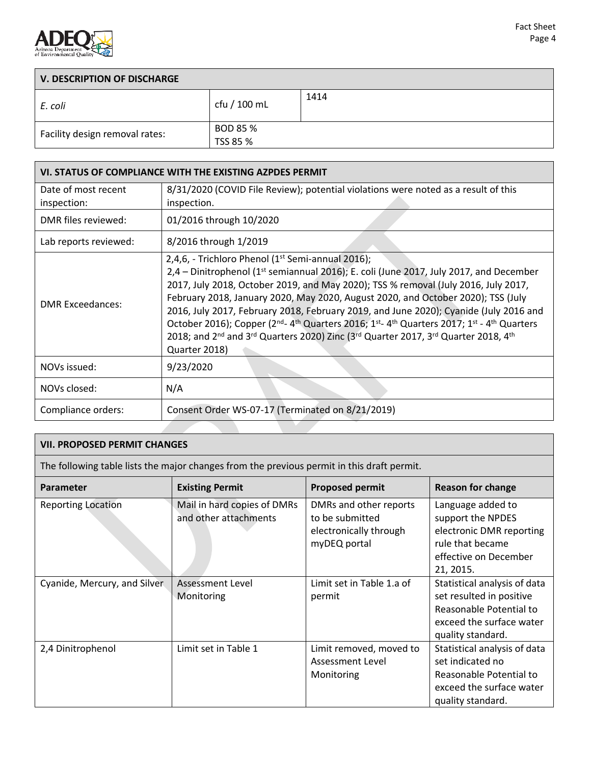

# **V. DESCRIPTION OF DISCHARGE**

| E. coli                        | cfu / 100 mL    | 1414 |  |
|--------------------------------|-----------------|------|--|
| Facility design removal rates: | <b>BOD 85 %</b> |      |  |
|                                | TSS 85 %        |      |  |

| VI. STATUS OF COMPLIANCE WITH THE EXISTING AZPDES PERMIT |                                                                                                                                                                                                                                                                                                                                                                                                                                                                                                                                                                                                                                                                                                                                                                       |  |  |  |
|----------------------------------------------------------|-----------------------------------------------------------------------------------------------------------------------------------------------------------------------------------------------------------------------------------------------------------------------------------------------------------------------------------------------------------------------------------------------------------------------------------------------------------------------------------------------------------------------------------------------------------------------------------------------------------------------------------------------------------------------------------------------------------------------------------------------------------------------|--|--|--|
| Date of most recent<br>inspection:                       | 8/31/2020 (COVID File Review); potential violations were noted as a result of this<br>inspection.                                                                                                                                                                                                                                                                                                                                                                                                                                                                                                                                                                                                                                                                     |  |  |  |
| DMR files reviewed:                                      | 01/2016 through 10/2020                                                                                                                                                                                                                                                                                                                                                                                                                                                                                                                                                                                                                                                                                                                                               |  |  |  |
| Lab reports reviewed:                                    | 8/2016 through 1/2019                                                                                                                                                                                                                                                                                                                                                                                                                                                                                                                                                                                                                                                                                                                                                 |  |  |  |
| <b>DMR Exceedances:</b>                                  | 2,4,6, - Trichloro Phenol ( $1st$ Semi-annual 2016);<br>2,4 – Dinitrophenol (1 <sup>st</sup> semiannual 2016); E. coli (June 2017, July 2017, and December<br>2017, July 2018, October 2019, and May 2020); TSS % removal (July 2016, July 2017,<br>February 2018, January 2020, May 2020, August 2020, and October 2020); TSS (July<br>2016, July 2017, February 2018, February 2019, and June 2020); Cyanide (July 2016 and<br>October 2016); Copper (2 <sup>nd</sup> -4 <sup>th</sup> Quarters 2016; 1 <sup>st</sup> -4 <sup>th</sup> Quarters 2017; 1 <sup>st</sup> - 4 <sup>th</sup> Quarters<br>2018; and 2 <sup>nd</sup> and 3 <sup>rd</sup> Quarters 2020) Zinc (3 <sup>rd</sup> Quarter 2017, 3 <sup>rd</sup> Quarter 2018, 4 <sup>th</sup><br>Quarter 2018) |  |  |  |
| NOVs issued:                                             | 9/23/2020                                                                                                                                                                                                                                                                                                                                                                                                                                                                                                                                                                                                                                                                                                                                                             |  |  |  |
| NOVs closed:                                             | N/A                                                                                                                                                                                                                                                                                                                                                                                                                                                                                                                                                                                                                                                                                                                                                                   |  |  |  |
| Compliance orders:                                       | Consent Order WS-07-17 (Terminated on 8/21/2019)                                                                                                                                                                                                                                                                                                                                                                                                                                                                                                                                                                                                                                                                                                                      |  |  |  |
|                                                          |                                                                                                                                                                                                                                                                                                                                                                                                                                                                                                                                                                                                                                                                                                                                                                       |  |  |  |

# **VII. PROPOSED PERMIT CHANGES**

The following table lists the major changes from the previous permit in this draft permit.

| <b>Parameter</b>             | <b>Existing Permit</b>      | <b>Proposed permit</b>    | <b>Reason for change</b>     |
|------------------------------|-----------------------------|---------------------------|------------------------------|
| <b>Reporting Location</b>    | Mail in hard copies of DMRs | DMRs and other reports    | Language added to            |
|                              | and other attachments       | to be submitted           | support the NPDES            |
|                              |                             | electronically through    | electronic DMR reporting     |
|                              |                             | myDEQ portal              | rule that became             |
|                              |                             |                           | effective on December        |
|                              |                             |                           | 21, 2015.                    |
| Cyanide, Mercury, and Silver | Assessment Level            | Limit set in Table 1.a of | Statistical analysis of data |
|                              | Monitoring                  | permit                    | set resulted in positive     |
|                              |                             |                           | Reasonable Potential to      |
|                              |                             |                           | exceed the surface water     |
|                              |                             |                           | quality standard.            |
| 2,4 Dinitrophenol            | Limit set in Table 1        | Limit removed, moved to   | Statistical analysis of data |
|                              |                             | Assessment Level          | set indicated no             |
|                              |                             | Monitoring                | Reasonable Potential to      |
|                              |                             |                           | exceed the surface water     |
|                              |                             |                           | quality standard.            |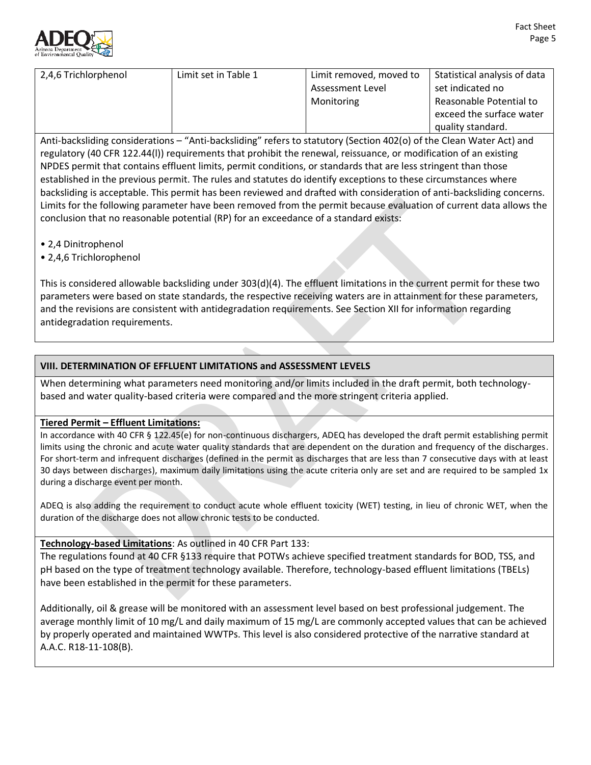



| 2,4,6 Trichlorphenol | Limit set in Table 1 | Limit removed, moved to | Statistical analysis of data |
|----------------------|----------------------|-------------------------|------------------------------|
|                      |                      | Assessment Level        | set indicated no             |
|                      |                      | Monitoring              | Reasonable Potential to      |
|                      |                      |                         | exceed the surface water     |
|                      |                      |                         | quality standard.            |

Anti-backsliding considerations – "Anti-backsliding" refers to statutory (Section 402(o) of the Clean Water Act) and regulatory (40 CFR 122.44(l)) requirements that prohibit the renewal, reissuance, or modification of an existing NPDES permit that contains effluent limits, permit conditions, or standards that are less stringent than those established in the previous permit. The rules and statutes do identify exceptions to these circumstances where backsliding is acceptable. This permit has been reviewed and drafted with consideration of anti-backsliding concerns. Limits for the following parameter have been removed from the permit because evaluation of current data allows the conclusion that no reasonable potential (RP) for an exceedance of a standard exists:

- 2,4 Dinitrophenol
- 2,4,6 Trichlorophenol

This is considered allowable backsliding under 303(d)(4). The effluent limitations in the current permit for these two parameters were based on state standards, the respective receiving waters are in attainment for these parameters, and the revisions are consistent with antidegradation requirements. See Section XII for information regarding antidegradation requirements.

# **VIII. DETERMINATION OF EFFLUENT LIMITATIONS and ASSESSMENT LEVELS**

 $\sim$ 

When determining what parameters need monitoring and/or limits included in the draft permit, both technologybased and water quality-based criteria were compared and the more stringent criteria applied.

#### **Tiered Permit – Effluent Limitations:**

In accordance with 40 CFR § 122.45(e) for non-continuous dischargers, ADEQ has developed the draft permit establishing permit limits using the chronic and acute water quality standards that are dependent on the duration and frequency of the discharges. For short-term and infrequent discharges (defined in the permit as discharges that are less than 7 consecutive days with at least 30 days between discharges), maximum daily limitations using the acute criteria only are set and are required to be sampled 1x during a discharge event per month.

ADEQ is also adding the requirement to conduct acute whole effluent toxicity (WET) testing, in lieu of chronic WET, when the duration of the discharge does not allow chronic tests to be conducted.

#### **Technology-based Limitations**: As outlined in 40 CFR Part 133:

The regulations found at 40 CFR §133 require that POTWs achieve specified treatment standards for BOD, TSS, and pH based on the type of treatment technology available. Therefore, technology-based effluent limitations (TBELs) have been established in the permit for these parameters.

Additionally, oil & grease will be monitored with an assessment level based on best professional judgement. The average monthly limit of 10 mg/L and daily maximum of 15 mg/L are commonly accepted values that can be achieved by properly operated and maintained WWTPs. This level is also considered protective of the narrative standard at A.A.C. R18-11-108(B).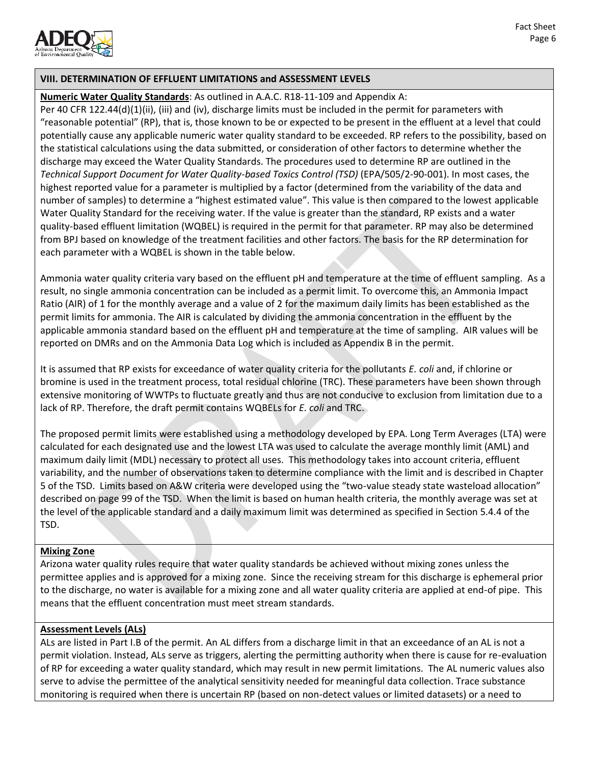

# **VIII. DETERMINATION OF EFFLUENT LIMITATIONS and ASSESSMENT LEVELS**

**Numeric Water Quality Standards**: As outlined in A.A.C. R18-11-109 and Appendix A:

Per 40 CFR 122.44(d)(1)(ii), (iii) and (iv), discharge limits must be included in the permit for parameters with "reasonable potential" (RP), that is, those known to be or expected to be present in the effluent at a level that could potentially cause any applicable numeric water quality standard to be exceeded. RP refers to the possibility, based on the statistical calculations using the data submitted, or consideration of other factors to determine whether the discharge may exceed the Water Quality Standards. The procedures used to determine RP are outlined in the *Technical Support Document for Water Quality-based Toxics Control (TSD)* (EPA/505/2-90-001). In most cases, the highest reported value for a parameter is multiplied by a factor (determined from the variability of the data and number of samples) to determine a "highest estimated value". This value is then compared to the lowest applicable Water Quality Standard for the receiving water. If the value is greater than the standard, RP exists and a water quality-based effluent limitation (WQBEL) is required in the permit for that parameter. RP may also be determined from BPJ based on knowledge of the treatment facilities and other factors. The basis for the RP determination for each parameter with a WQBEL is shown in the table below.

Ammonia water quality criteria vary based on the effluent pH and temperature at the time of effluent sampling. As a result, no single ammonia concentration can be included as a permit limit. To overcome this, an Ammonia Impact Ratio (AIR) of 1 for the monthly average and a value of 2 for the maximum daily limits has been established as the permit limits for ammonia. The AIR is calculated by dividing the ammonia concentration in the effluent by the applicable ammonia standard based on the effluent pH and temperature at the time of sampling. AIR values will be reported on DMRs and on the Ammonia Data Log which is included as Appendix B in the permit.

It is assumed that RP exists for exceedance of water quality criteria for the pollutants *E. coli* and, if chlorine or bromine is used in the treatment process, total residual chlorine (TRC). These parameters have been shown through extensive monitoring of WWTPs to fluctuate greatly and thus are not conducive to exclusion from limitation due to a lack of RP. Therefore, the draft permit contains WQBELs for *E. coli* and TRC.

The proposed permit limits were established using a methodology developed by EPA. Long Term Averages (LTA) were calculated for each designated use and the lowest LTA was used to calculate the average monthly limit (AML) and maximum daily limit (MDL) necessary to protect all uses. This methodology takes into account criteria, effluent variability, and the number of observations taken to determine compliance with the limit and is described in Chapter 5 of the TSD. Limits based on A&W criteria were developed using the "two-value steady state wasteload allocation" described on page 99 of the TSD. When the limit is based on human health criteria, the monthly average was set at the level of the applicable standard and a daily maximum limit was determined as specified in Section 5.4.4 of the TSD.

#### **Mixing Zone**

Arizona water quality rules require that water quality standards be achieved without mixing zones unless the permittee applies and is approved for a mixing zone. Since the receiving stream for this discharge is ephemeral prior to the discharge, no water is available for a mixing zone and all water quality criteria are applied at end-of pipe. This means that the effluent concentration must meet stream standards.

#### **Assessment Levels (ALs)**

ALs are listed in Part I.B of the permit. An AL differs from a discharge limit in that an exceedance of an AL is not a permit violation. Instead, ALs serve as triggers, alerting the permitting authority when there is cause for re-evaluation of RP for exceeding a water quality standard, which may result in new permit limitations. The AL numeric values also serve to advise the permittee of the analytical sensitivity needed for meaningful data collection. Trace substance monitoring is required when there is uncertain RP (based on non-detect values or limited datasets) or a need to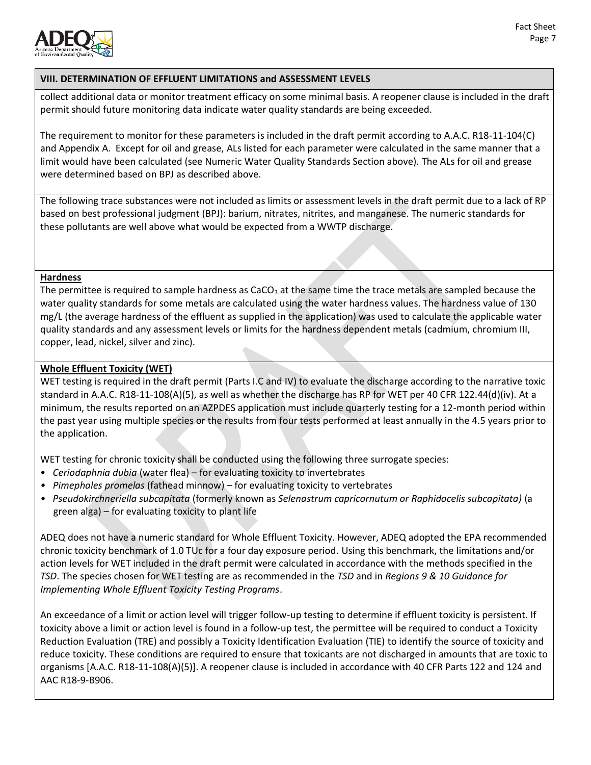

# **VIII. DETERMINATION OF EFFLUENT LIMITATIONS and ASSESSMENT LEVELS**

collect additional data or monitor treatment efficacy on some minimal basis. A reopener clause is included in the draft permit should future monitoring data indicate water quality standards are being exceeded.

The requirement to monitor for these parameters is included in the draft permit according to A.A.C. R18-11-104(C) and Appendix A. Except for oil and grease, ALs listed for each parameter were calculated in the same manner that a limit would have been calculated (see Numeric Water Quality Standards Section above). The ALs for oil and grease were determined based on BPJ as described above.

The following trace substances were not included as limits or assessment levels in the draft permit due to a lack of RP based on best professional judgment (BPJ): barium, nitrates, nitrites, and manganese. The numeric standards for these pollutants are well above what would be expected from a WWTP discharge.

#### **Hardness**

The permittee is required to sample hardness as  $CaCO<sub>3</sub>$  at the same time the trace metals are sampled because the water quality standards for some metals are calculated using the water hardness values. The hardness value of 130 mg/L (the average hardness of the effluent as supplied in the application) was used to calculate the applicable water quality standards and any assessment levels or limits for the hardness dependent metals (cadmium, chromium III, copper, lead, nickel, silver and zinc).

#### **Whole Effluent Toxicity (WET)**

WET testing is required in the draft permit (Parts I.C and IV) to evaluate the discharge according to the narrative toxic standard in A.A.C. R18-11-108(A)(5), as well as whether the discharge has RP for WET per 40 CFR 122.44(d)(iv). At a minimum, the results reported on an AZPDES application must include quarterly testing for a 12-month period within the past year using multiple species or the results from four tests performed at least annually in the 4.5 years prior to the application.

WET testing for chronic toxicity shall be conducted using the following three surrogate species:

- *Ceriodaphnia dubia* (water flea) for evaluating toxicity to invertebrates
- *Pimephales promelas* (fathead minnow) for evaluating toxicity to vertebrates
- *Pseudokirchneriella subcapitata* (formerly known as *Selenastrum capricornutum or Raphidocelis subcapitata)* (a green alga) – for evaluating toxicity to plant life

ADEQ does not have a numeric standard for Whole Effluent Toxicity. However, ADEQ adopted the EPA recommended chronic toxicity benchmark of 1.0 TUc for a four day exposure period. Using this benchmark, the limitations and/or action levels for WET included in the draft permit were calculated in accordance with the methods specified in the *TSD*. The species chosen for WET testing are as recommended in the *TSD* and in *Regions 9 & 10 Guidance for Implementing Whole Effluent Toxicity Testing Programs*.

An exceedance of a limit or action level will trigger follow-up testing to determine if effluent toxicity is persistent. If toxicity above a limit or action level is found in a follow-up test, the permittee will be required to conduct a Toxicity Reduction Evaluation (TRE) and possibly a Toxicity Identification Evaluation (TIE) to identify the source of toxicity and reduce toxicity. These conditions are required to ensure that toxicants are not discharged in amounts that are toxic to organisms [A.A.C. R18-11-108(A)(5)]. A reopener clause is included in accordance with 40 CFR Parts 122 and 124 and AAC R18-9-B906.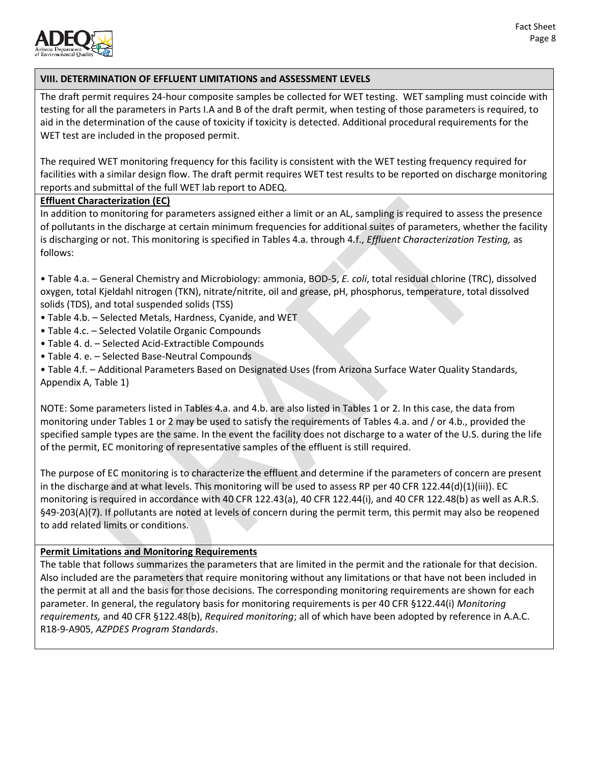

# **VIII. DETERMINATION OF EFFLUENT LIMITATIONS and ASSESSMENT LEVELS**

The draft permit requires 24-hour composite samples be collected for WET testing. WET sampling must coincide with testing for all the parameters in Parts I.A and B of the draft permit, when testing of those parameters is required, to aid in the determination of the cause of toxicity if toxicity is detected. Additional procedural requirements for the WET test are included in the proposed permit.

The required WET monitoring frequency for this facility is consistent with the WET testing frequency required for facilities with a similar design flow. The draft permit requires WET test results to be reported on discharge monitoring reports and submittal of the full WET lab report to ADEQ.

# **Effluent Characterization (EC)**

In addition to monitoring for parameters assigned either a limit or an AL, sampling is required to assess the presence of pollutants in the discharge at certain minimum frequencies for additional suites of parameters, whether the facility is discharging or not. This monitoring is specified in Tables 4.a. through 4.f., *Effluent Characterization Testing,* as follows:

• Table 4.a. – General Chemistry and Microbiology: ammonia, BOD-5, *E. coli*, total residual chlorine (TRC), dissolved oxygen, total Kjeldahl nitrogen (TKN), nitrate/nitrite, oil and grease, pH, phosphorus, temperature, total dissolved solids (TDS), and total suspended solids (TSS)

- Table 4.b. Selected Metals, Hardness, Cyanide, and WET
- Table 4.c. Selected Volatile Organic Compounds
- Table 4. d. Selected Acid-Extractible Compounds
- Table 4. e. Selected Base-Neutral Compounds

• Table 4.f. – Additional Parameters Based on Designated Uses (from Arizona Surface Water Quality Standards, Appendix A, Table 1)

NOTE: Some parameters listed in Tables 4.a. and 4.b. are also listed in Tables 1 or 2. In this case, the data from monitoring under Tables 1 or 2 may be used to satisfy the requirements of Tables 4.a. and / or 4.b., provided the specified sample types are the same. In the event the facility does not discharge to a water of the U.S. during the life of the permit, EC monitoring of representative samples of the effluent is still required.

The purpose of EC monitoring is to characterize the effluent and determine if the parameters of concern are present in the discharge and at what levels. This monitoring will be used to assess RP per 40 CFR 122.44(d)(1)(iii)). EC monitoring is required in accordance with 40 CFR 122.43(a), 40 CFR 122.44(i), and 40 CFR 122.48(b) as well as A.R.S. §49-203(A)(7). If pollutants are noted at levels of concern during the permit term, this permit may also be reopened to add related limits or conditions.

#### **Permit Limitations and Monitoring Requirements**

The table that follows summarizes the parameters that are limited in the permit and the rationale for that decision. Also included are the parameters that require monitoring without any limitations or that have not been included in the permit at all and the basis for those decisions. The corresponding monitoring requirements are shown for each parameter. In general, the regulatory basis for monitoring requirements is per 40 CFR §122.44(i) *Monitoring requirements,* and 40 CFR §122.48(b), *Required monitoring*; all of which have been adopted by reference in A.A.C. R18-9-A905, *AZPDES Program Standards*.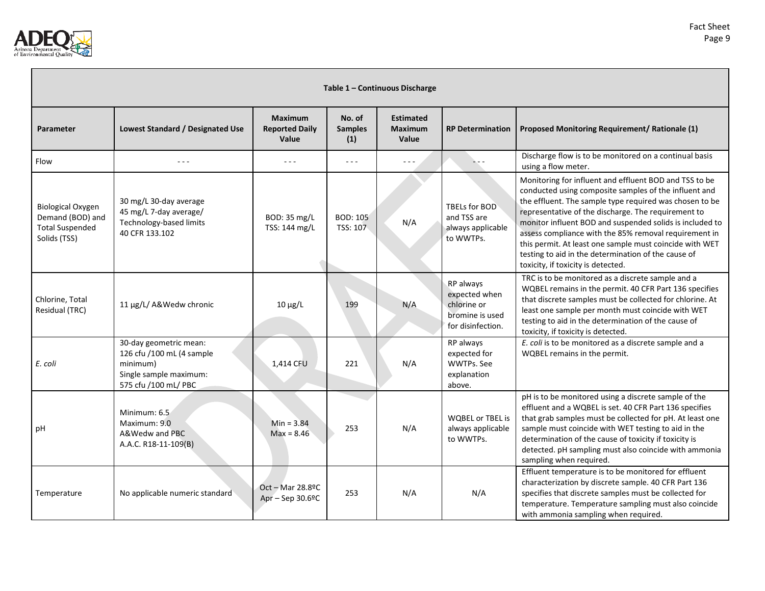

| Table 1 - Continuous Discharge                                                         |                                                                                                                   |                                                     |                                 |                                             |                                                                                   |                                                                                                                                                                                                                                                                                                                                                                                                                                                                                                                |
|----------------------------------------------------------------------------------------|-------------------------------------------------------------------------------------------------------------------|-----------------------------------------------------|---------------------------------|---------------------------------------------|-----------------------------------------------------------------------------------|----------------------------------------------------------------------------------------------------------------------------------------------------------------------------------------------------------------------------------------------------------------------------------------------------------------------------------------------------------------------------------------------------------------------------------------------------------------------------------------------------------------|
| <b>Parameter</b>                                                                       | Lowest Standard / Designated Use                                                                                  | <b>Maximum</b><br><b>Reported Daily</b><br>Value    | No. of<br><b>Samples</b><br>(1) | <b>Estimated</b><br><b>Maximum</b><br>Value | <b>RP Determination</b>                                                           | Proposed Monitoring Requirement/ Rationale (1)                                                                                                                                                                                                                                                                                                                                                                                                                                                                 |
| Flow                                                                                   | - - -                                                                                                             | $\sim$ $\sim$ $\sim$                                | $- - -$                         | $\sim$ $\sim$ $\sim$                        |                                                                                   | Discharge flow is to be monitored on a continual basis<br>using a flow meter.                                                                                                                                                                                                                                                                                                                                                                                                                                  |
| <b>Biological Oxygen</b><br>Demand (BOD) and<br><b>Total Suspended</b><br>Solids (TSS) | 30 mg/L 30-day average<br>45 mg/L 7-day average/<br>Technology-based limits<br>40 CFR 133.102                     | BOD: 35 mg/L<br>TSS: 144 mg/L                       | <b>BOD: 105</b><br>TSS: 107     | N/A                                         | TBELs for BOD<br>and TSS are<br>always applicable<br>to WWTPs.                    | Monitoring for influent and effluent BOD and TSS to be<br>conducted using composite samples of the influent and<br>the effluent. The sample type required was chosen to be<br>representative of the discharge. The requirement to<br>monitor influent BOD and suspended solids is included to<br>assess compliance with the 85% removal requirement in<br>this permit. At least one sample must coincide with WET<br>testing to aid in the determination of the cause of<br>toxicity, if toxicity is detected. |
| Chlorine, Total<br>Residual (TRC)                                                      | 11 µg/L/ A&Wedw chronic                                                                                           | $10 \mu g/L$                                        | 199                             | N/A                                         | RP always<br>expected when<br>chlorine or<br>bromine is used<br>for disinfection. | TRC is to be monitored as a discrete sample and a<br>WQBEL remains in the permit. 40 CFR Part 136 specifies<br>that discrete samples must be collected for chlorine. At<br>least one sample per month must coincide with WET<br>testing to aid in the determination of the cause of<br>toxicity, if toxicity is detected.                                                                                                                                                                                      |
| E. coli                                                                                | 30-day geometric mean:<br>126 cfu /100 mL (4 sample<br>minimum)<br>Single sample maximum:<br>575 cfu /100 mL/ PBC | 1.414 CFU                                           | 221                             | N/A                                         | RP always<br>expected for<br>WWTPs. See<br>explanation<br>above.                  | E. coli is to be monitored as a discrete sample and a<br>WQBEL remains in the permit.                                                                                                                                                                                                                                                                                                                                                                                                                          |
| рH                                                                                     | Minimum: 6.5<br>Maximum: 9.0<br>A&Wedw and PBC<br>A.A.C. R18-11-109(B)                                            | Min = $3.84$<br>$Max = 8.46$                        | 253                             | N/A                                         | <b>WOBEL or TBEL is</b><br>always applicable<br>to WWTPs.                         | pH is to be monitored using a discrete sample of the<br>effluent and a WQBEL is set. 40 CFR Part 136 specifies<br>that grab samples must be collected for pH. At least one<br>sample must coincide with WET testing to aid in the<br>determination of the cause of toxicity if toxicity is<br>detected. pH sampling must also coincide with ammonia<br>sampling when required.                                                                                                                                 |
| Temperature                                                                            | No applicable numeric standard                                                                                    | $Oct - Mar 28.8$ <sup>o</sup> C<br>Apr - Sep 30.6°C | 253                             | N/A                                         | N/A                                                                               | Effluent temperature is to be monitored for effluent<br>characterization by discrete sample. 40 CFR Part 136<br>specifies that discrete samples must be collected for<br>temperature. Temperature sampling must also coincide<br>with ammonia sampling when required.                                                                                                                                                                                                                                          |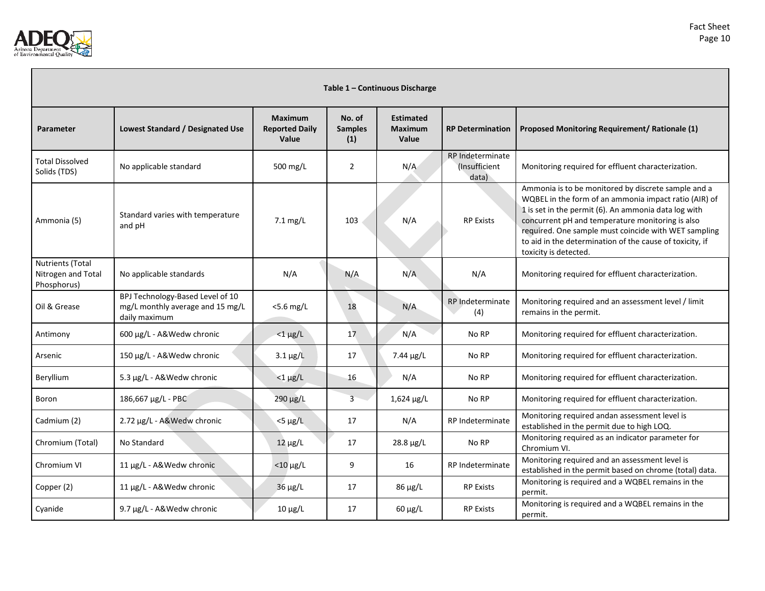

| Table 1 - Continuous Discharge                        |                                                                                       |                                                  |                                 |                                             |                                                    |                                                                                                                                                                                                                                                                                                                                                                       |  |  |  |
|-------------------------------------------------------|---------------------------------------------------------------------------------------|--------------------------------------------------|---------------------------------|---------------------------------------------|----------------------------------------------------|-----------------------------------------------------------------------------------------------------------------------------------------------------------------------------------------------------------------------------------------------------------------------------------------------------------------------------------------------------------------------|--|--|--|
| Parameter                                             | Lowest Standard / Designated Use                                                      | <b>Maximum</b><br><b>Reported Daily</b><br>Value | No. of<br><b>Samples</b><br>(1) | <b>Estimated</b><br><b>Maximum</b><br>Value | <b>RP Determination</b>                            | Proposed Monitoring Requirement/ Rationale (1)                                                                                                                                                                                                                                                                                                                        |  |  |  |
| <b>Total Dissolved</b><br>Solids (TDS)                | No applicable standard                                                                | 500 mg/L                                         | $\overline{2}$                  | N/A                                         | RP Indeterminate<br><i>(Insufficient)</i><br>data) | Monitoring required for effluent characterization.                                                                                                                                                                                                                                                                                                                    |  |  |  |
| Ammonia (5)                                           | Standard varies with temperature<br>and pH                                            | $7.1 \text{ mg/L}$                               | 103                             | N/A                                         | <b>RP Exists</b>                                   | Ammonia is to be monitored by discrete sample and a<br>WQBEL in the form of an ammonia impact ratio (AIR) of<br>1 is set in the permit (6). An ammonia data log with<br>concurrent pH and temperature monitoring is also<br>required. One sample must coincide with WET sampling<br>to aid in the determination of the cause of toxicity, if<br>toxicity is detected. |  |  |  |
| Nutrients (Total<br>Nitrogen and Total<br>Phosphorus) | No applicable standards                                                               | N/A                                              | N/A                             | N/A                                         | N/A                                                | Monitoring required for effluent characterization.                                                                                                                                                                                                                                                                                                                    |  |  |  |
| Oil & Grease                                          | BPJ Technology-Based Level of 10<br>mg/L monthly average and 15 mg/L<br>daily maximum | $<$ 5.6 mg/L                                     | 18                              | N/A                                         | RP Indeterminate<br>(4)                            | Monitoring required and an assessment level / limit<br>remains in the permit.                                                                                                                                                                                                                                                                                         |  |  |  |
| Antimony                                              | 600 µg/L - A&Wedw chronic                                                             | $<$ 1 µg/L                                       | 17                              | N/A                                         | No RP                                              | Monitoring required for effluent characterization.                                                                                                                                                                                                                                                                                                                    |  |  |  |
| Arsenic                                               | 150 µg/L - A&Wedw chronic                                                             | $3.1 \mu g/L$                                    | 17                              | 7.44 µg/L                                   | No RP                                              | Monitoring required for effluent characterization.                                                                                                                                                                                                                                                                                                                    |  |  |  |
| Beryllium                                             | 5.3 µg/L - A&Wedw chronic                                                             | $<$ 1 µg/L                                       | 16                              | N/A                                         | No RP                                              | Monitoring required for effluent characterization.                                                                                                                                                                                                                                                                                                                    |  |  |  |
| Boron                                                 | 186,667 μg/L - PBC                                                                    | 290 µg/L                                         | 3                               | $1,624 \,\mu g/L$                           | No RP                                              | Monitoring required for effluent characterization.                                                                                                                                                                                                                                                                                                                    |  |  |  |
| Cadmium (2)                                           | 2.72 µg/L - A&Wedw chronic                                                            | $<$ 5 µg/L                                       | 17                              | N/A                                         | RP Indeterminate                                   | Monitoring required andan assessment level is<br>established in the permit due to high LOQ.                                                                                                                                                                                                                                                                           |  |  |  |
| Chromium (Total)                                      | No Standard                                                                           | $12 \mu g/L$                                     | 17                              | 28.8 µg/L                                   | No RP                                              | Monitoring required as an indicator parameter for<br>Chromium VI.                                                                                                                                                                                                                                                                                                     |  |  |  |
| Chromium VI                                           | 11 µg/L - A&Wedw chronic                                                              | $<$ 10 $\mu$ g/L                                 | 9                               | 16                                          | <b>RP</b> Indeterminate                            | Monitoring required and an assessment level is<br>established in the permit based on chrome (total) data.                                                                                                                                                                                                                                                             |  |  |  |
| Copper (2)                                            | 11 µg/L - A&Wedw chronic                                                              | 36 µg/L                                          | 17                              | $86 \mu g/L$                                | <b>RP Exists</b>                                   | Monitoring is required and a WQBEL remains in the<br>permit.                                                                                                                                                                                                                                                                                                          |  |  |  |
| Cyanide                                               | 9.7 µg/L - A&Wedw chronic                                                             | $10 \mu g/L$                                     | 17                              | $60 \mu g/L$                                | <b>RP Exists</b>                                   | Monitoring is required and a WQBEL remains in the<br>permit.                                                                                                                                                                                                                                                                                                          |  |  |  |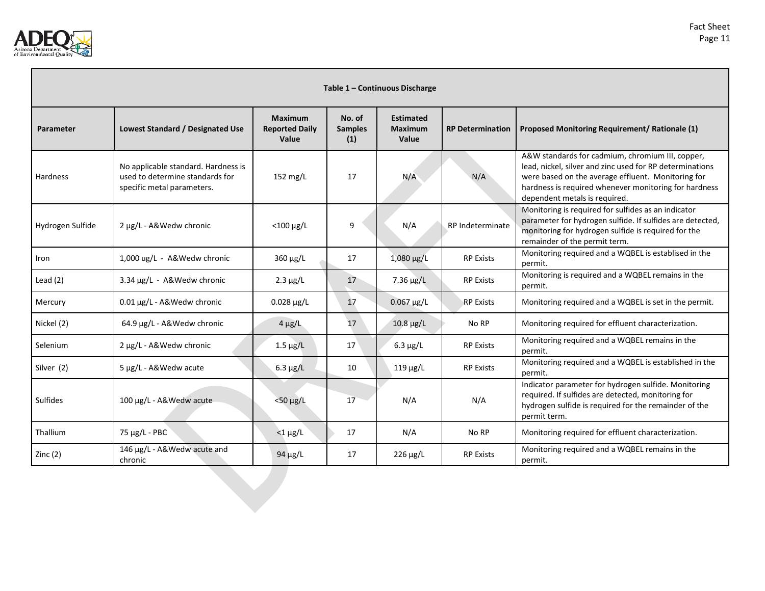

п

| Table 1 - Continuous Discharge |                                                                                                      |                                                  |                                 |                                             |                         |                                                                                                                                                                                                                                                              |  |  |  |
|--------------------------------|------------------------------------------------------------------------------------------------------|--------------------------------------------------|---------------------------------|---------------------------------------------|-------------------------|--------------------------------------------------------------------------------------------------------------------------------------------------------------------------------------------------------------------------------------------------------------|--|--|--|
| Parameter                      | Lowest Standard / Designated Use                                                                     | <b>Maximum</b><br><b>Reported Daily</b><br>Value | No. of<br><b>Samples</b><br>(1) | <b>Estimated</b><br><b>Maximum</b><br>Value | <b>RP Determination</b> | Proposed Monitoring Requirement/ Rationale (1)                                                                                                                                                                                                               |  |  |  |
| <b>Hardness</b>                | No applicable standard. Hardness is<br>used to determine standards for<br>specific metal parameters. | 152 mg/L                                         | 17                              | N/A                                         | N/A                     | A&W standards for cadmium, chromium III, copper,<br>lead, nickel, silver and zinc used for RP determinations<br>were based on the average effluent. Monitoring for<br>hardness is required whenever monitoring for hardness<br>dependent metals is required. |  |  |  |
| Hydrogen Sulfide               | 2 µg/L - A&Wedw chronic                                                                              | $<$ 100 µg/L                                     | 9                               | N/A                                         | RP Indeterminate        | Monitoring is required for sulfides as an indicator<br>parameter for hydrogen sulfide. If sulfides are detected,<br>monitoring for hydrogen sulfide is required for the<br>remainder of the permit term.                                                     |  |  |  |
| Iron                           | 1,000 ug/L - A&Wedw chronic                                                                          | 360 µg/L                                         | 17                              | 1,080 µg/L                                  | <b>RP Exists</b>        | Monitoring required and a WQBEL is establised in the<br>permit.                                                                                                                                                                                              |  |  |  |
| Lead $(2)$                     | 3.34 µg/L - A&Wedw chronic                                                                           | $2.3 \mu g/L$                                    | 17                              | $7.36 \mu g/L$                              | <b>RP Exists</b>        | Monitoring is required and a WQBEL remains in the<br>permit.                                                                                                                                                                                                 |  |  |  |
| Mercury                        | $0.01 \mu$ g/L - A&Wedw chronic                                                                      | $0.028 \mu g/L$                                  | 17                              | $0.067 \,\mu g/L$                           | <b>RP Exists</b>        | Monitoring required and a WQBEL is set in the permit.                                                                                                                                                                                                        |  |  |  |
| Nickel (2)                     | 64.9 µg/L - A&Wedw chronic                                                                           | $4 \mu g/L$                                      | 17                              | $10.8 \,\mathrm{\upmu g/L}$                 | No RP                   | Monitoring required for effluent characterization.                                                                                                                                                                                                           |  |  |  |
| Selenium                       | 2 µg/L - A&Wedw chronic                                                                              | $1.5 \mu g/L$                                    | 17                              | $6.3 \mu g/L$                               | <b>RP Exists</b>        | Monitoring required and a WQBEL remains in the<br>permit.                                                                                                                                                                                                    |  |  |  |
| Silver (2)                     | 5 µg/L - A&Wedw acute                                                                                | $6.3 \mu g/L$                                    | 10                              | $119 \mu g/L$                               | <b>RP Exists</b>        | Monitoring required and a WQBEL is established in the<br>permit.                                                                                                                                                                                             |  |  |  |
| <b>Sulfides</b>                | 100 μg/L - A&Wedw acute                                                                              | <50 μg/L                                         | 17                              | N/A                                         | N/A                     | Indicator parameter for hydrogen sulfide. Monitoring<br>required. If sulfides are detected, monitoring for<br>hydrogen sulfide is required for the remainder of the<br>permit term.                                                                          |  |  |  |
| Thallium                       | 75 μg/L - PBC                                                                                        | $<$ 1 $\mu$ g/L                                  | 17                              | N/A                                         | No RP                   | Monitoring required for effluent characterization.                                                                                                                                                                                                           |  |  |  |
| Zinc $(2)$                     | 146 µg/L - A&Wedw acute and<br>chronic                                                               | $94 \mu g/L$                                     | 17                              | $226 \mu g/L$                               | <b>RP Exists</b>        | Monitoring required and a WQBEL remains in the<br>permit.                                                                                                                                                                                                    |  |  |  |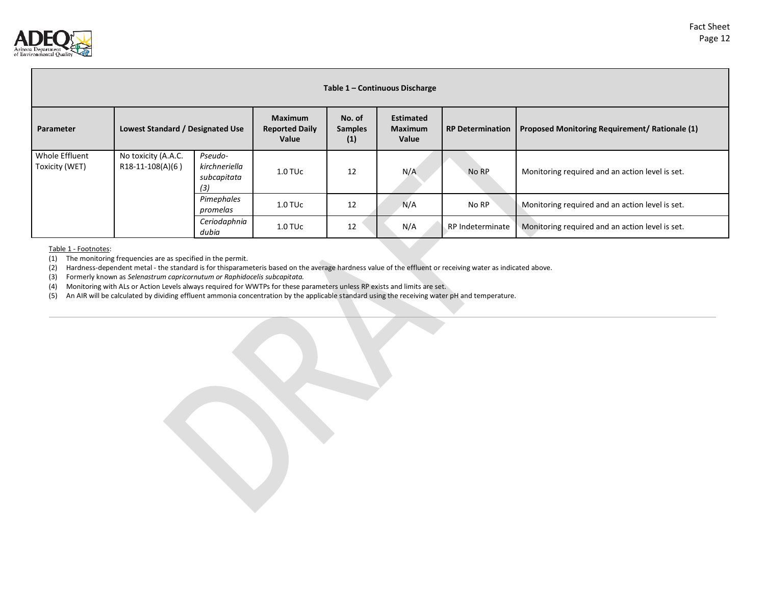

| Table 1 – Continuous Discharge   |                                           |                                                |                                                  |                                 |                                             |                         |                                                       |  |
|----------------------------------|-------------------------------------------|------------------------------------------------|--------------------------------------------------|---------------------------------|---------------------------------------------|-------------------------|-------------------------------------------------------|--|
| Parameter                        | Lowest Standard / Designated Use          |                                                | <b>Maximum</b><br><b>Reported Daily</b><br>Value | No. of<br><b>Samples</b><br>(1) | <b>Estimated</b><br><b>Maximum</b><br>Value | <b>RP Determination</b> | <b>Proposed Monitoring Requirement/ Rationale (1)</b> |  |
| Whole Effluent<br>Toxicity (WET) | No toxicity (A.A.C.<br>$R18-11-108(A)(6)$ | Pseudo-<br>kirchneriella<br>subcapitata<br>(3) | $1.0$ TUc                                        | 12                              | N/A                                         | No RP                   | Monitoring required and an action level is set.       |  |
|                                  |                                           | Pimephales<br>promelas                         | $1.0$ TU $c$                                     | 12                              | N/A                                         | No RP                   | Monitoring required and an action level is set.       |  |
|                                  |                                           | Ceriodaphnia<br>dubia                          | $1.0$ TUc                                        | 12                              | N/A                                         | RP Indeterminate        | Monitoring required and an action level is set.       |  |

Table 1 - Footnotes:

(1) The monitoring frequencies are as specified in the permit.

(2) Hardness-dependent metal - the standard is for thisparameteris based on the average hardness value of the effluent or receiving water as indicated above.<br>(3) Formerly known as Selenastrum capricornutum or Raphidocelis

(3) Formerly known as *Selenastrum capricornutum or Raphidocelis subcapitata.*

(4) Monitoring with ALs or Action Levels always required for WWTPs for these parameters unless RP exists and limits are set.<br>(5) An AIR will be calculated by dividing effluent ammonia concentration by the applicable standa (5) An AIR will be calculated by dividing effluent ammonia concentration by the applicable standard using the receiving water pH and temperature.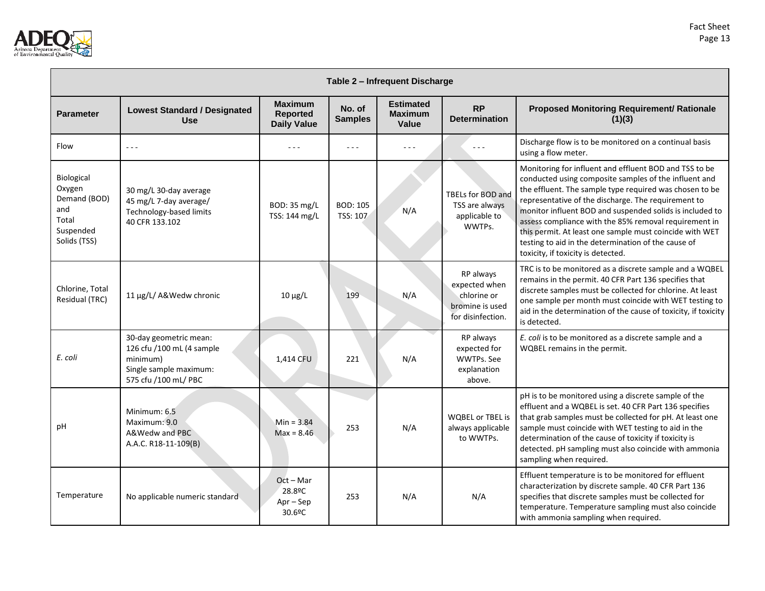

| Table 2 - Infrequent Discharge                                                    |                                                                                                                   |                                                         |                                    |                                             |                                                                                   |                                                                                                                                                                                                                                                                                                                                                                                                                                                                                                                |  |  |
|-----------------------------------------------------------------------------------|-------------------------------------------------------------------------------------------------------------------|---------------------------------------------------------|------------------------------------|---------------------------------------------|-----------------------------------------------------------------------------------|----------------------------------------------------------------------------------------------------------------------------------------------------------------------------------------------------------------------------------------------------------------------------------------------------------------------------------------------------------------------------------------------------------------------------------------------------------------------------------------------------------------|--|--|
| <b>Parameter</b>                                                                  | <b>Lowest Standard / Designated</b><br><b>Use</b>                                                                 | <b>Maximum</b><br><b>Reported</b><br><b>Daily Value</b> | No. of<br><b>Samples</b>           | <b>Estimated</b><br><b>Maximum</b><br>Value | <b>RP</b><br><b>Determination</b>                                                 | <b>Proposed Monitoring Requirement/ Rationale</b><br>(1)(3)                                                                                                                                                                                                                                                                                                                                                                                                                                                    |  |  |
| Flow                                                                              | $\sim$ $\sim$ $\sim$                                                                                              | $\sim$ $\sim$ $\sim$                                    | $\sim$ $\sim$ $\sim$               | $\sim$ $\sim$ $\sim$                        | $\omega \sim \omega$                                                              | Discharge flow is to be monitored on a continual basis<br>using a flow meter.                                                                                                                                                                                                                                                                                                                                                                                                                                  |  |  |
| Biological<br>Oxygen<br>Demand (BOD)<br>and<br>Total<br>Suspended<br>Solids (TSS) | 30 mg/L 30-day average<br>45 mg/L 7-day average/<br>Technology-based limits<br>40 CFR 133.102                     | BOD: 35 mg/L<br>TSS: 144 mg/L                           | <b>BOD: 105</b><br><b>TSS: 107</b> | N/A                                         | TBELs for BOD and<br>TSS are always<br>applicable to<br>WWTPs.                    | Monitoring for influent and effluent BOD and TSS to be<br>conducted using composite samples of the influent and<br>the effluent. The sample type required was chosen to be<br>representative of the discharge. The requirement to<br>monitor influent BOD and suspended solids is included to<br>assess compliance with the 85% removal requirement in<br>this permit. At least one sample must coincide with WET<br>testing to aid in the determination of the cause of<br>toxicity, if toxicity is detected. |  |  |
| Chlorine, Total<br>Residual (TRC)                                                 | 11 µg/L/ A&Wedw chronic                                                                                           | $10 \mu g/L$                                            | 199                                | N/A                                         | RP always<br>expected when<br>chlorine or<br>bromine is used<br>for disinfection. | TRC is to be monitored as a discrete sample and a WQBEL<br>remains in the permit. 40 CFR Part 136 specifies that<br>discrete samples must be collected for chlorine. At least<br>one sample per month must coincide with WET testing to<br>aid in the determination of the cause of toxicity, if toxicity<br>is detected.                                                                                                                                                                                      |  |  |
| E. coli                                                                           | 30-day geometric mean:<br>126 cfu /100 mL (4 sample<br>minimum)<br>Single sample maximum:<br>575 cfu /100 mL/ PBC | 1,414 CFU                                               | 221                                | N/A                                         | RP always<br>expected for<br>WWTPs. See<br>explanation<br>above.                  | E. coli is to be monitored as a discrete sample and a<br>WQBEL remains in the permit.                                                                                                                                                                                                                                                                                                                                                                                                                          |  |  |
| рH                                                                                | Minimum: 6.5<br>Maximum: 9.0<br>A&Wedw and PBC<br>A.A.C. R18-11-109(B)                                            | $Min = 3.84$<br>$Max = 8.46$                            | 253                                | N/A                                         | <b>WQBEL or TBEL is</b><br>always applicable<br>to WWTPs.                         | pH is to be monitored using a discrete sample of the<br>effluent and a WQBEL is set. 40 CFR Part 136 specifies<br>that grab samples must be collected for pH. At least one<br>sample must coincide with WET testing to aid in the<br>determination of the cause of toxicity if toxicity is<br>detected. pH sampling must also coincide with ammonia<br>sampling when required.                                                                                                                                 |  |  |
| Temperature                                                                       | No applicable numeric standard                                                                                    | $Oct - Mar$<br>28.8ºC<br>$Apr - Sep$<br>30.6ºC          | 253                                | N/A                                         | N/A                                                                               | Effluent temperature is to be monitored for effluent<br>characterization by discrete sample. 40 CFR Part 136<br>specifies that discrete samples must be collected for<br>temperature. Temperature sampling must also coincide<br>with ammonia sampling when required.                                                                                                                                                                                                                                          |  |  |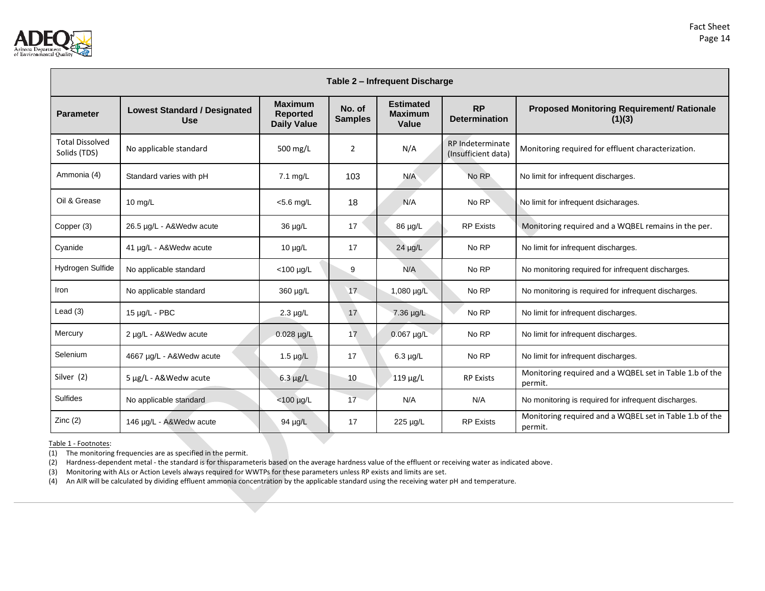

| Table 2 - Infrequent Discharge         |                                                   |                                                         |                          |                                             |                                                |                                                                    |  |  |
|----------------------------------------|---------------------------------------------------|---------------------------------------------------------|--------------------------|---------------------------------------------|------------------------------------------------|--------------------------------------------------------------------|--|--|
| <b>Parameter</b>                       | <b>Lowest Standard / Designated</b><br><b>Use</b> | <b>Maximum</b><br><b>Reported</b><br><b>Daily Value</b> | No. of<br><b>Samples</b> | <b>Estimated</b><br><b>Maximum</b><br>Value | <b>RP</b><br><b>Determination</b>              | <b>Proposed Monitoring Requirement/ Rationale</b><br>(1)(3)        |  |  |
| <b>Total Dissolved</b><br>Solids (TDS) | No applicable standard                            | 500 mg/L                                                | $\overline{2}$           | N/A                                         | <b>RP Indeterminate</b><br>(Insufficient data) | Monitoring required for effluent characterization.                 |  |  |
| Ammonia (4)                            | Standard varies with pH                           | $7.1 \text{ mg/L}$                                      | 103                      | N/A                                         | No RP                                          | No limit for infrequent discharges.                                |  |  |
| Oil & Grease                           | 10 $mg/L$                                         | $<$ 5.6 mg/L                                            | 18                       | N/A                                         | No RP                                          | No limit for infrequent dsicharages.                               |  |  |
| Copper (3)                             | 26.5 µg/L - A&Wedw acute                          | $36 \mu g/L$                                            | 17                       | 86 µg/L                                     | <b>RP Exists</b>                               | Monitoring required and a WQBEL remains in the per.                |  |  |
| Cyanide                                | 41 µg/L - A&Wedw acute                            | $10 \mu g/L$                                            | 17                       | $24 \mu g/L$                                | No RP                                          | No limit for infrequent discharges.                                |  |  |
| Hydrogen Sulfide                       | No applicable standard                            | <100 µg/L                                               | 9                        | N/A                                         | No RP                                          | No monitoring required for infrequent discharges.                  |  |  |
| Iron                                   | No applicable standard                            | 360 µg/L                                                | 17                       | 1,080 µg/L                                  | No RP                                          | No monitoring is required for infrequent discharges.               |  |  |
| Lead $(3)$                             | $15 \mu q/L - PBC$                                | $2.3 \mu g/L$                                           | 17                       | $7.36 \mu g/L$                              | No RP                                          | No limit for infrequent discharges.                                |  |  |
| Mercury                                | 2 µg/L - A&Wedw acute                             | $0.028 \mu g/L$                                         | 17                       | $0.067$ µg/L                                | No RP                                          | No limit for infrequent discharges.                                |  |  |
| Selenium                               | 4667 µg/L - A&Wedw acute                          | $1.5 \mu g/L$                                           | 17                       | $6.3 \mu g/L$                               | No RP                                          | No limit for infrequent discharges.                                |  |  |
| Silver (2)                             | 5 µg/L - A&Wedw acute                             | $6.3 \mu g/L$                                           | 10                       | $119 \mu g/L$                               | <b>RP Exists</b>                               | Monitoring required and a WQBEL set in Table 1.b of the<br>permit. |  |  |
| Sulfides                               | No applicable standard                            | <100 µg/L                                               | 17                       | N/A                                         | N/A                                            | No monitoring is required for infrequent discharges.               |  |  |
| Zinc(2)                                | 146 µg/L - A&Wedw acute                           | $94 \mu g/L$                                            | 17                       | 225 µg/L                                    | <b>RP Exists</b>                               | Monitoring required and a WQBEL set in Table 1.b of the<br>permit. |  |  |

Table 1 - Footnotes:

(1) The monitoring frequencies are as specified in the permit.

(2) Hardness-dependent metal - the standard is for thisparameteris based on the average hardness value of the effluent or receiving water as indicated above.

(3) Monitoring with ALs or Action Levels always required for WWTPs for these parameters unless RP exists and limits are set.

(4) An AIR will be calculated by dividing effluent ammonia concentration by the applicable standard using the receiving water pH and temperature.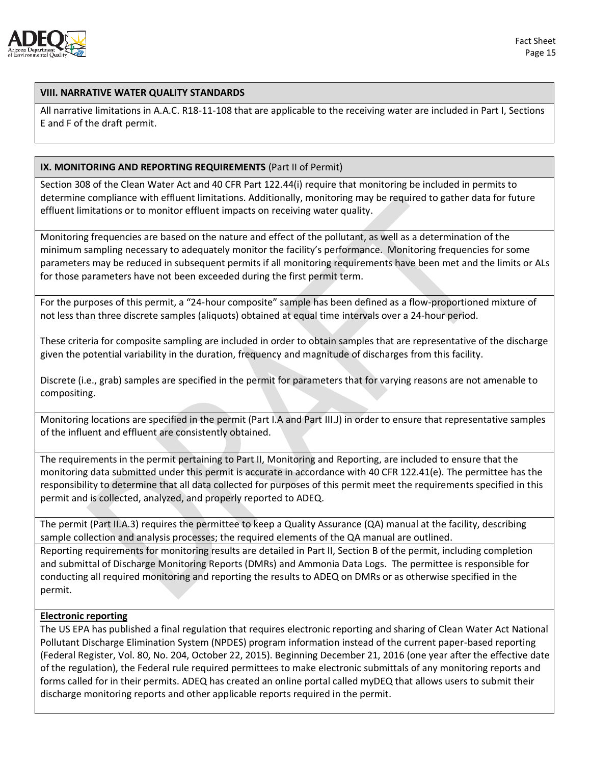

#### **VIII. NARRATIVE WATER QUALITY STANDARDS**

All narrative limitations in A.A.C. R18-11-108 that are applicable to the receiving water are included in Part I, Sections E and F of the draft permit.

#### **IX. MONITORING AND REPORTING REQUIREMENTS** (Part II of Permit)

Section 308 of the Clean Water Act and 40 CFR Part 122.44(i) require that monitoring be included in permits to determine compliance with effluent limitations. Additionally, monitoring may be required to gather data for future effluent limitations or to monitor effluent impacts on receiving water quality.

Monitoring frequencies are based on the nature and effect of the pollutant, as well as a determination of the minimum sampling necessary to adequately monitor the facility's performance. Monitoring frequencies for some parameters may be reduced in subsequent permits if all monitoring requirements have been met and the limits or ALs for those parameters have not been exceeded during the first permit term.

For the purposes of this permit, a "24-hour composite" sample has been defined as a flow-proportioned mixture of not less than three discrete samples (aliquots) obtained at equal time intervals over a 24-hour period.

These criteria for composite sampling are included in order to obtain samples that are representative of the discharge given the potential variability in the duration, frequency and magnitude of discharges from this facility.

Discrete (i.e., grab) samples are specified in the permit for parameters that for varying reasons are not amenable to compositing.

Monitoring locations are specified in the permit (Part I.A and Part III.J) in order to ensure that representative samples of the influent and effluent are consistently obtained.

The requirements in the permit pertaining to Part II, Monitoring and Reporting, are included to ensure that the monitoring data submitted under this permit is accurate in accordance with 40 CFR 122.41(e). The permittee has the responsibility to determine that all data collected for purposes of this permit meet the requirements specified in this permit and is collected, analyzed, and properly reported to ADEQ.

The permit (Part II.A.3) requires the permittee to keep a Quality Assurance (QA) manual at the facility, describing sample collection and analysis processes; the required elements of the QA manual are outlined.

Reporting requirements for monitoring results are detailed in Part II, Section B of the permit, including completion and submittal of Discharge Monitoring Reports (DMRs) and Ammonia Data Logs. The permittee is responsible for conducting all required monitoring and reporting the results to ADEQ on DMRs or as otherwise specified in the permit.

#### **Electronic reporting**

The US EPA has published a final regulation that requires electronic reporting and sharing of Clean Water Act National Pollutant Discharge Elimination System (NPDES) program information instead of the current paper-based reporting (Federal Register, Vol. 80, No. 204, October 22, 2015). Beginning December 21, 2016 (one year after the effective date of the regulation), the Federal rule required permittees to make electronic submittals of any monitoring reports and forms called for in their permits. ADEQ has created an online portal called myDEQ that allows users to submit their discharge monitoring reports and other applicable reports required in the permit.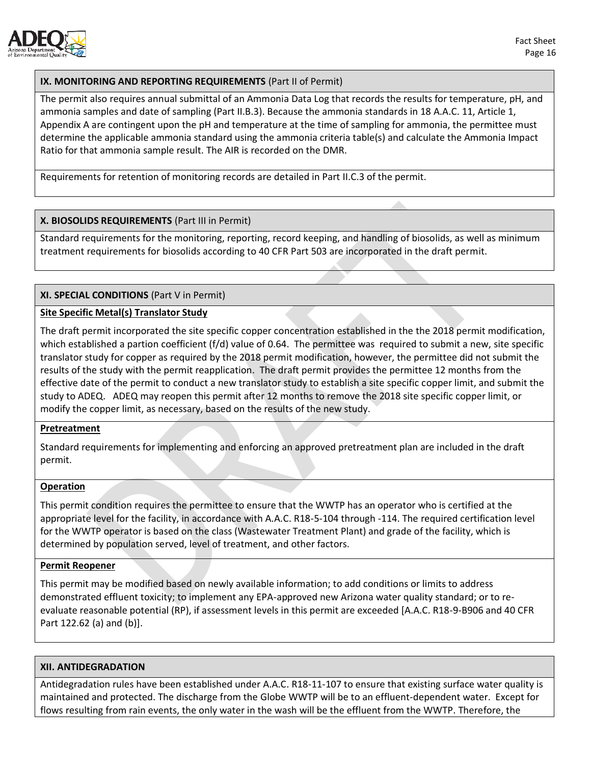

#### **IX. MONITORING AND REPORTING REQUIREMENTS** (Part II of Permit)

The permit also requires annual submittal of an Ammonia Data Log that records the results for temperature, pH, and ammonia samples and date of sampling (Part II.B.3). Because the ammonia standards in 18 A.A.C. 11, Article 1, Appendix A are contingent upon the pH and temperature at the time of sampling for ammonia, the permittee must determine the applicable ammonia standard using the ammonia criteria table(s) and calculate the Ammonia Impact Ratio for that ammonia sample result. The AIR is recorded on the DMR.

Requirements for retention of monitoring records are detailed in Part II.C.3 of the permit.

#### **X. BIOSOLIDS REQUIREMENTS** (Part III in Permit)

Standard requirements for the monitoring, reporting, record keeping, and handling of biosolids, as well as minimum treatment requirements for biosolids according to 40 CFR Part 503 are incorporated in the draft permit.

# **XI. SPECIAL CONDITIONS** (Part V in Permit)

#### **Site Specific Metal(s) Translator Study**

The draft permit incorporated the site specific copper concentration established in the the 2018 permit modification, which established a partion coefficient (f/d) value of 0.64. The permittee was required to submit a new, site specific translator study for copper as required by the 2018 permit modification, however, the permittee did not submit the results of the study with the permit reapplication. The draft permit provides the permittee 12 months from the effective date of the permit to conduct a new translator study to establish a site specific copper limit, and submit the study to ADEQ. ADEQ may reopen this permit after 12 months to remove the 2018 site specific copper limit, or modify the copper limit, as necessary, based on the results of the new study.

#### **Pretreatment**

Standard requirements for implementing and enforcing an approved pretreatment plan are included in the draft permit.

#### **Operation**

This permit condition requires the permittee to ensure that the WWTP has an operator who is certified at the appropriate level for the facility, in accordance with A.A.C. R18-5-104 through -114. The required certification level for the WWTP operator is based on the class (Wastewater Treatment Plant) and grade of the facility, which is determined by population served, level of treatment, and other factors.

#### **Permit Reopener**

This permit may be modified based on newly available information; to add conditions or limits to address demonstrated effluent toxicity; to implement any EPA-approved new Arizona water quality standard; or to reevaluate reasonable potential (RP), if assessment levels in this permit are exceeded [A.A.C. R18-9-B906 and 40 CFR Part 122.62 (a) and (b)].

#### **XII. ANTIDEGRADATION**

Antidegradation rules have been established under A.A.C. R18-11-107 to ensure that existing surface water quality is maintained and protected. The discharge from the Globe WWTP will be to an effluent-dependent water. Except for flows resulting from rain events, the only water in the wash will be the effluent from the WWTP. Therefore, the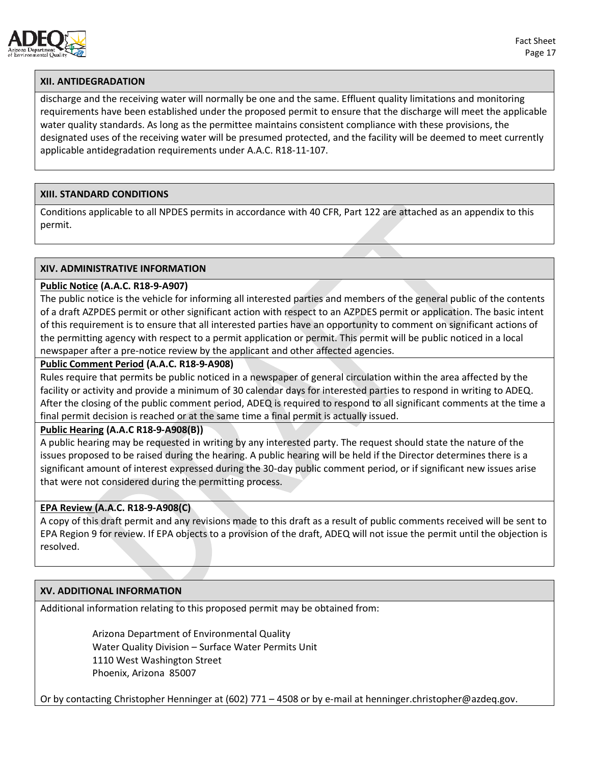

## **XII. ANTIDEGRADATION**

discharge and the receiving water will normally be one and the same. Effluent quality limitations and monitoring requirements have been established under the proposed permit to ensure that the discharge will meet the applicable water quality standards. As long as the permittee maintains consistent compliance with these provisions, the designated uses of the receiving water will be presumed protected, and the facility will be deemed to meet currently applicable antidegradation requirements under A.A.C. R18-11-107.

# **XIII. STANDARD CONDITIONS**

Conditions applicable to all NPDES permits in accordance with 40 CFR, Part 122 are attached as an appendix to this permit.

#### **XIV. ADMINISTRATIVE INFORMATION**

#### **Public Notice (A.A.C. R18-9-A907)**

The public notice is the vehicle for informing all interested parties and members of the general public of the contents of a draft AZPDES permit or other significant action with respect to an AZPDES permit or application. The basic intent of this requirement is to ensure that all interested parties have an opportunity to comment on significant actions of the permitting agency with respect to a permit application or permit. This permit will be public noticed in a local newspaper after a pre-notice review by the applicant and other affected agencies.

#### **Public Comment Period (A.A.C. R18-9-A908)**

Rules require that permits be public noticed in a newspaper of general circulation within the area affected by the facility or activity and provide a minimum of 30 calendar days for interested parties to respond in writing to ADEQ. After the closing of the public comment period, ADEQ is required to respond to all significant comments at the time a final permit decision is reached or at the same time a final permit is actually issued.

#### **Public Hearing (A.A.C R18-9-A908(B))**

A public hearing may be requested in writing by any interested party. The request should state the nature of the issues proposed to be raised during the hearing. A public hearing will be held if the Director determines there is a significant amount of interest expressed during the 30-day public comment period, or if significant new issues arise that were not considered during the permitting process.

#### **EPA Review (A.A.C. R18-9-A908(C)**

A copy of this draft permit and any revisions made to this draft as a result of public comments received will be sent to EPA Region 9 for review. If EPA objects to a provision of the draft, ADEQ will not issue the permit until the objection is resolved.

#### **XV. ADDITIONAL INFORMATION**

Additional information relating to this proposed permit may be obtained from:

Arizona Department of Environmental Quality Water Quality Division – Surface Water Permits Unit 1110 West Washington Street Phoenix, Arizona 85007

Or by contacting Christopher Henninger at (602) 771 – 4508 or by e-mail at [henninger.christopher@azdeq.gov.](mailto:henninger.christopher@azdeq.gov)